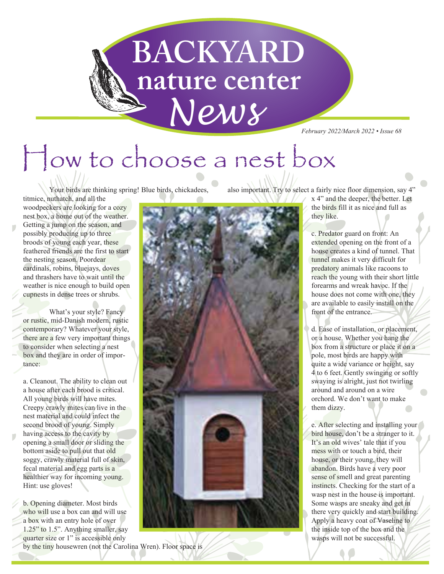

*February 2022/March 2022 • Issue 68*

# How to choose a nest box

Your birds are thinking spring! Blue birds, chickadees,

titmice, nuthatch, and all the woodpeckers are looking for a cozy nest box, a home out of the weather. Getting a jump on the season, and possibly producing up to three broods of young each year, these feathered friends are the first to start the nesting season. Poordear cardinals, robins, bluejays, doves and thrashers have to wait until the weather is nice enough to build open cupnests in dense trees or shrubs.

 What's your style? Fancy or rustic, mid-Danish modern, rustic contemporary? Whatever your style, there are a few very important things to consider when selecting a nest box and they are in order of importance:

a. Cleanout. The ability to clean out a house after each brood is critical. All young birds will have mites. Creepy crawly mites can live in the nest material and could infect the second brood of young. Simply having access to the cavity by opening a small door or sliding the bottom aside to pull out that old soggy, crawly material full of skin, fecal material and egg parts is a healthier way for incoming young. Hint: use gloves!

b. Opening diameter. Most birds who will use a box can and will use a box with an entry hole of over 1.25" to 1.5". Anything smaller, say quarter size or 1" is accessible only by the tiny housewren (not the Carolina Wren). Floor space is



also important. Try to select a fairly nice floor dimension, say 4"

x 4" and the deeper, the better. Let the birds fill it as nice and full as they like.

c. Predator guard on front: An extended opening on the front of a house creates a kind of tunnel. That tunnel makes it very difficult for predatory animals like racoons to reach the young with their short little forearms and wreak havoc. If the house does not come with one, they are available to easily install on the front of the entrance.

d. Ease of installation, or placement, or a house. Whether you hang the box from a structure or place it on a pole, most birds are happy with quite a wide variance or height, say 4 to 6 feet. Gently swinging or softly swaying is alright, just not twirling around and around on a wire orchord. We don't want to make them dizzy.

e. After selecting and installing your bird house, don't be a stranger to it. It's an old wives' tale that if you mess with or touch a bird, their house, or their young, they will abandon. Birds have a very poor sense of smell and great parenting instincts. Checking for the start of a wasp nest in the house is important. Some wasps are sneaky and get in there very quickly and start building. Apply a heavy coat of Vaseline to the inside top of the box and the wasps will not be successful.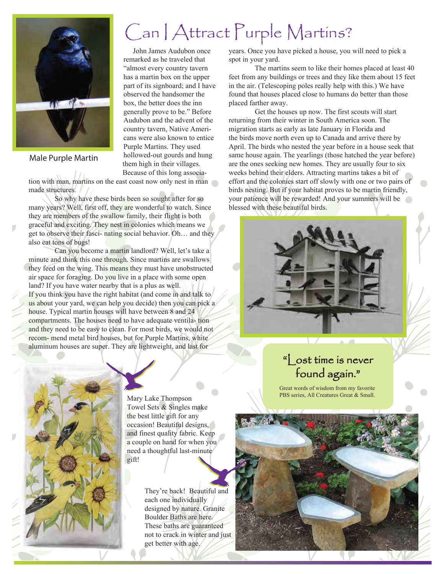

#### Male Purple Martin

### Can I Attract Purple Martins?

 John James Audubon once remarked as he traveled that "almost every country tavern has a martin box on the upper part of its signboard; and I have observed the handsomer the box, the better does the inn generally prove to be." Before Audubon and the advent of the country tavern, Native Americans were also known to entice Purple Martins. They used hollowed-out gourds and hung them high in their villages. Because of this long associa-

tion with man, martins on the east coast now only nest in man made structures.

 So why have these birds been so sought after for so many years? Well, first off, they are wonderful to watch. Since they are members of the swallow family, their flight is both graceful and exciting. They nest in colonies which means we get to observe their fasci- nating social behavior. Oh… and they also eat tons of bugs!

 Can you become a martin landlord? Well, let's take a minute and think this one through. Since martins are swallows they feed on the wing. This means they must have unobstructed air space for foraging. Do you live in a place with some open land? If you have water nearby that is a plus as well. If you think you have the right habitat (and come in and talk to us about your yard, we can help you decide) then you can pick a house. Typical martin houses will have between 8 and 24 compartments. The houses need to have adequate ventila- tion and they need to be easy to clean. For most birds, we would not recom- mend metal bird houses, but for Purple Martins, white aluminum houses are super. They are lightweight, and last for

years. Once you have picked a house, you will need to pick a spot in your yard.

 The martins seem to like their homes placed at least 40 feet from any buildings or trees and they like them about 15 feet in the air. (Telescoping poles really help with this.) We have found that houses placed close to humans do better than those placed farther away.

 Get the houses up now. The first scouts will start returning from their winter in South America soon. The migration starts as early as late January in Florida and the birds move north even up to Canada and arrive there by April. The birds who nested the year before in a house seek that same house again. The yearlings (those hatched the year before) are the ones seeking new homes. They are usually four to six weeks behind their elders. Attracting martins takes a bit of effort and the colonies start off slowly with one or two pairs of birds nesting. But if your habitat proves to be martin friendly, your patience will be rewarded! And your summers will be blessed with these beautiful birds.



## found again."

Great words of wisdom from my favorite PBS series, All Creatures Great & Small.



Mary Lake Thompson Towel Sets & Singles make the best little gift for any occasion! Beautiful designs, and finest quality fabric. Keep a couple on hand for when you need a thoughtful last-minute gift!

> They're back! Beautiful and each one individually designed by nature. Granite Boulder Baths are here. These baths are guaranteed not to crack in winter and just get better with age.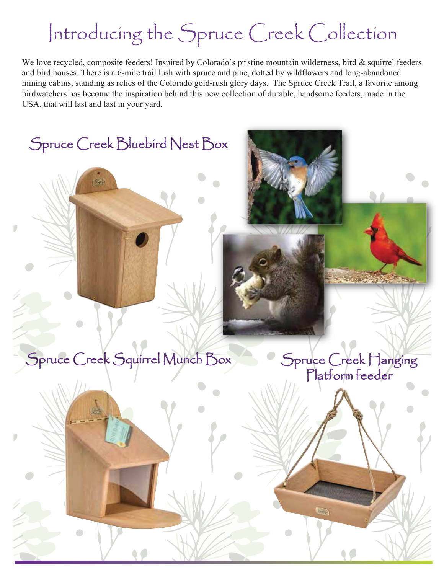# Introducing the Spruce Creek Collection

We love recycled, composite feeders! Inspired by Colorado's pristine mountain wilderness, bird & squirrel feeders and bird houses. There is a 6-mile trail lush with spruce and pine, dotted by wildflowers and long-abandoned mining cabins, standing as relics of the Colorado gold-rush glory days. The Spruce Creek Trail, a favorite among birdwatchers has become the inspiration behind this new collection of durable, handsome feeders, made in the USA, that will last and last in your yard.



Spruce Creek Bluebird Nest Box

D

D

Spruce Creek Hanging Platform feeder